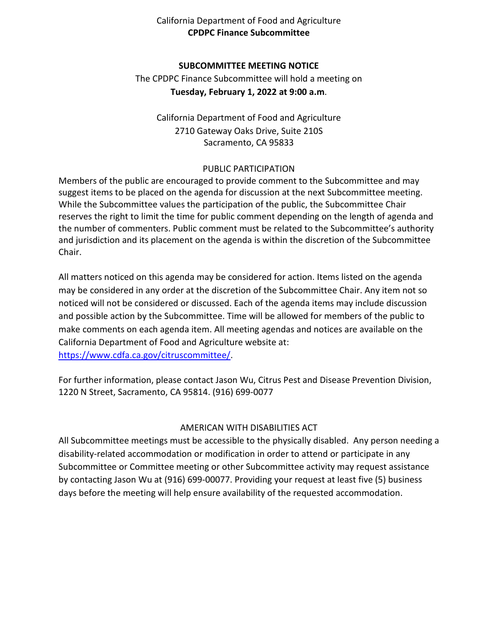## California Department of Food and Agriculture **CPDPC Finance Subcommittee**

### **SUBCOMMITTEE MEETING NOTICE**

 **Tuesday, February 1, 2022 at 9:00 a.m**. The CPDPC Finance Subcommittee will hold a meeting on

California Department of Food and Agriculture 2710 Gateway Oaks Drive, Suite 210S Sacramento, CA 95833

#### PUBLIC PARTICIPATION

 suggest items to be placed on the agenda for discussion at the next Subcommittee meeting. While the Subcommittee values the participation of the public, the Subcommittee Chair Members of the public are encouraged to provide comment to the Subcommittee and may reserves the right to limit the time for public comment depending on the length of agenda and the number of commenters. Public comment must be related to the Subcommittee's authority and jurisdiction and its placement on the agenda is within the discretion of the Subcommittee Chair.

 may be considered in any order at the discretion of the Subcommittee Chair. Any item not so noticed will not be considered or discussed. Each of the agenda items may include discussion and possible action by the Subcommittee. Time will be allowed for members of the public to make comments on each agenda item. All meeting agendas and notices are available on the All matters noticed on this agenda may be considered for action. Items listed on the agenda California Department of Food and Agriculture website at: [https://www.cdfa.ca.gov/citruscommittee/.](https://www.cdfa.ca.gov/citruscommittee/)

 For further information, please contact Jason Wu, Citrus Pest and Disease Prevention Division, 1220 N Street, Sacramento, CA 95814. (916) 699-0077

## AMERICAN WITH DISABILITIES ACT

 All Subcommittee meetings must be accessible to the physically disabled. Any person needing a days before the meeting will help ensure availability of the requested accommodation. disability-related accommodation or modification in order to attend or participate in any Subcommittee or Committee meeting or other Subcommittee activity may request assistance by contacting Jason Wu at (916) 699-00077. Providing your request at least five (5) business